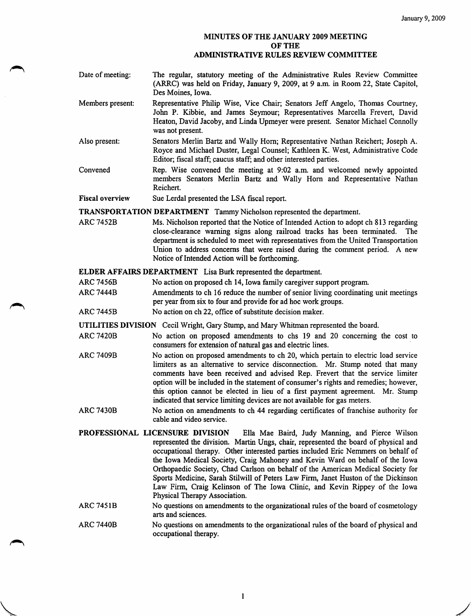## MINUTES OF THE JANUARY 2009 MEETING OF THE ADMINISTRATIVE RULES REVIEW COMMITTEE

- Date of meeting: The regular, statutory meeting of the Administrative Rules Review Committee (ARRC) was held on Friday, January 9, 2009, at 9 a.m. in Room 22, State Capitol, Des Moines, Iowa.
- Members present: Representative Philip Wise, Vice Chair; Senators Jeff Angelo, Thomas Courtney, John P. Kibbie, and James Seymour; Representatives Marcella Frevert, David Heaton, David Jacoby, and Linda Upmeyer were present. Senator Michael Connolly was not present.
- Also present: Senators Merlin Bartz and Wally Hom; Representative Nathan Reichert; Joseph A. Royce and Michael Duster, Legal Counsel; Kathleen K. West, Administrative Code Editor; fiscal staff; caucus staff; and other interested parties.
- Convened Rep. Wise convened the meeting at 9:02 a.m. and welcomed newly appointed members Senators Merlin Bartz and Wally Hom and Representative Nathan Reichert.
- Fiscal overview Sue Lerdal presented the LSA fiscal report.

TRANSPORTATION DEPARTMENT Tammy Nicholson represented the department.

ARC 7452B Ms. Nicholson reported that the Notice of Intended Action to adopt ch 813 regarding close-clearance warning signs along railroad tracks has been terminated. The department is scheduled to meet with representatives from the United Transportation Union to address concems that were raised during the comment period. A new Notice of Intended Action will be forthcoming.

## ELDER AFFAIRS DEPARTMENT Lisa Burk represented the department.

- ARC 7456B No action on proposed ch 14, Iowa family caregiver support program.
- ARC 7444B Amendments to ch 16 reduce the number of senior living coordinating unit meetings per year from six to four and provide for ad hoc work groups.
- ARC 7445B No action on ch 22, office of substitute decision maker.

UTILITIES DIVISION Cecil Wright, Gary Stump, and Mary Whitman represented the board.

- ARC 7420B No action on proposed amendments to chs 19 and 20 concerning the cost to consumers for extension of natural gas and electric lines.
- ARC 7409B No action on proposed amendments to ch 20, which pertain to electric load service limiters as an altemative to service disconnection. Mr. Stump noted that many comments have been received and advised Rep. Frevert that the service limiter option will be included in the statement of consumer's rights and remedies; however, this option cannot be elected in lieu of a first payment agreement. Mr. Stump indicated that service limiting devices are not available for gas meters.
- ARC 7430B No action on amendments to ch 44 regarding certificates of franchise authority for cable and video service.
- PROFESSIONAL LICENSURE DIVISION Ella Mae Baird, Judy Manning, and Pierce Wilson represented the division. Martin Ungs, chair, represented the board of physical and occupational therapy. Other interested parties included Eric Nemmers on behalf of the Iowa Medical Society, Craig Mahoney and Kevin Ward on behalf of the Iowa Orthopaedic Society, Chad Carlson on behalf of the American Medical Society for Sports Medicine, Sarah Stilwill of Peters Law Firm, Janet Huston of the Dickinson Law Firm, Craig Kelinson of The Iowa Clinic, and Kevin Rippey of the Iowa Physical Therapy Association.
- No questions on amendments to the organizational rules of the board of cosmetology arts and sciences. ARC 745 IB
- No questions on amendments to the organizational rules of the board of physical and occupational therapy. ARC 7440B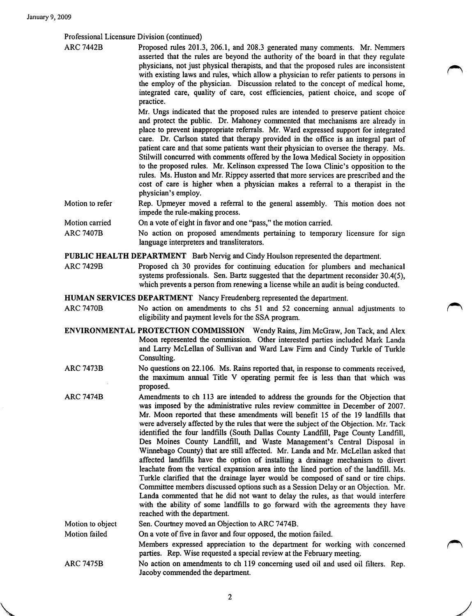V

Professional Licensure Division (continued)

ARC 7442B Proposed rules 201.3, 206.1, and 208.3 generated many comments. Mr. Nemmers asserted that the rules are beyond the authority of the board in that they regulate physicians, not just physical therapists, and that the proposed rules are inconsistent with existing laws and rules, which allow a physician to refer patients to persons in the employ of the physician. Discussion related to the concept of medical home, integrated care, quality of care, cost efficiencies, patient choice, and scope of practice.

> Mr. Ungs indicated that the proposed rules are intended to preserve patient choice and protect the public. Dr. Mahoney commented that mechanisms are already in place to prevent inappropriate referrals. Mr. Ward expressed support for integrated care. Dr. Carlson stated that therapy provided in the office is an integral part of patient care and that some patients want their physician to oversee the therapy. Ms. Stilwill concurred with comments offered by the Iowa Medical Society in opposition to the proposed rules. Mr. Kelinson expressed The Iowa Clinic's opposition to the rules. Ms. Huston and Mr. Rippey asserted that more services are prescribed and the cost of care is higher when a physician makes a referral to a therapist in the physician's employ.

- Motion to refer Rep. Upmeyer moved a referral to the general assembly. This motion does not impede the rule-making process.
- Motion carried On a vote of eight in favor and one "pass," the motion carried.
- ARC 7407B No action on proposed amendments pertaining to temporary licensure for sign language interpreters and transliterators.

PUBLIC HEALTH DEPARTMENT Barb Nervig and Cindy Houlson represented the department.

ARC 7429B Proposed ch 30 provides for continuing education for plumbers and mechanical systems professionals. Sen. Bartz suggested that the department reconsider 30.4(5), which prevents a person from renewing a license while an audit is being conducted.

HUMAN SERVICES DEPARTMENT Nancy Freudenberg represented the department.

- ARC 7470B No action on amendments to chs 51 and 52 concerning annual adjustments to eligibility and payment levels for the SSA program.
- ENVIRONMENTAL PROTECTION COMMISSION Wendy Rains, Jim McGraw, Jon Tack, and Alex Moon represented the commission. Other interested parties included Mark Landa and Larry McLellan of Sullivan and Ward Law Firm and Cindy Turkle of Turkle Consulting.
- ARC 7473B No questions on 22.106. Ms. Rains reported that, in response to comments received, the maximum annual Title V operating permit fee is less than that which was proposed.
- ARC 7474B Amendments to ch 113 are intended to address the grounds for the Objection that was imposed by the administrative rules review committee in December of 2007. Mr. Moon reported that these amendments will benefit 15 of the 19 landfills that were adversely affected by the rules that were the subject of the Objection. Mr. Tack identified the four landfills (South Dallas County Landfill, Page County Landfill, Des Moines County Landfill, and Waste Management's Central Disposal in Winnebago County) that are still affected. Mr. Landa and Mr. McLellan asked that affected landfills have the option of installing a drainage mechanism to divert leachate from the vertical expansion area into the lined portion of the landfill. Ms. Turkle clarified that the drainage layer would be composed of sand or tire chips. Committee members discussed options such as a Session Delay or an Objection. Mr. Landa commented that he did not want to delay the rules, as that would interfere with the ability of some landfills to go forward with the agreements they have reached with the department.
- Sen. Courtney moved an Objection to ARC 7474B. On a vote of five in favor and four opposed, the motion failed. Members expressed appreciation to the department for working with concerned parties. Rep. Wise requested a special review at the February meeting. No action on amendments to ch 119 concerning used oil and used oil filters. Rep. Jacoby commended the department. Motion to object Motion failed ARC 7475B